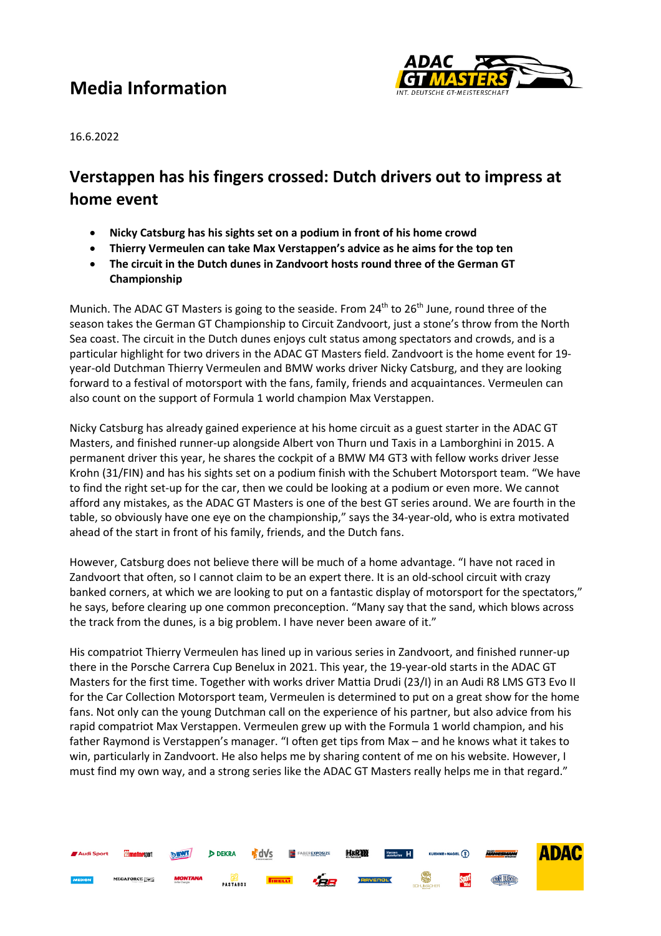# **Media Information**



**ADAC** 

 $\Omega$ 

**TWN BUSCA** 

16.6.2022

### **Verstappen has his fingers crossed: Dutch drivers out to impress at home event**

- **Nicky Catsburg has his sights set on a podium in front of his home crowd**
- **Thierry Vermeulen can take Max Verstappen's advice as he aims for the top ten**
- **The circuit in the Dutch dunes in Zandvoort hosts round three of the German GT Championship**

Munich. The ADAC GT Masters is going to the seaside. From  $24<sup>th</sup>$  to  $26<sup>th</sup>$  June, round three of the season takes the German GT Championship to Circuit Zandvoort, just a stone's throw from the North Sea coast. The circuit in the Dutch dunes enjoys cult status among spectators and crowds, and is a particular highlight for two drivers in the ADAC GT Masters field. Zandvoort is the home event for 19 year-old Dutchman Thierry Vermeulen and BMW works driver Nicky Catsburg, and they are looking forward to a festival of motorsport with the fans, family, friends and acquaintances. Vermeulen can also count on the support of Formula 1 world champion Max Verstappen.

Nicky Catsburg has already gained experience at his home circuit as a guest starter in the ADAC GT Masters, and finished runner-up alongside Albert von Thurn und Taxis in a Lamborghini in 2015. A permanent driver this year, he shares the cockpit of a BMW M4 GT3 with fellow works driver Jesse Krohn (31/FIN) and has his sights set on a podium finish with the Schubert Motorsport team. "We have to find the right set-up for the car, then we could be looking at a podium or even more. We cannot afford any mistakes, as the ADAC GT Masters is one of the best GT series around. We are fourth in the table, so obviously have one eye on the championship," says the 34-year-old, who is extra motivated ahead of the start in front of his family, friends, and the Dutch fans.

However, Catsburg does not believe there will be much of a home advantage. "I have not raced in Zandvoort that often, so I cannot claim to be an expert there. It is an old-school circuit with crazy banked corners, at which we are looking to put on a fantastic display of motorsport for the spectators," he says, before clearing up one common preconception. "Many say that the sand, which blows across the track from the dunes, is a big problem. I have never been aware of it."

His compatriot Thierry Vermeulen has lined up in various series in Zandvoort, and finished runner-up there in the Porsche Carrera Cup Benelux in 2021. This year, the 19-year-old starts in the ADAC GT Masters for the first time. Together with works driver Mattia Drudi (23/I) in an Audi R8 LMS GT3 Evo II for the Car Collection Motorsport team, Vermeulen is determined to put on a great show for the home fans. Not only can the young Dutchman call on the experience of his partner, but also advice from his rapid compatriot Max Verstappen. Vermeulen grew up with the Formula 1 world champion, and his father Raymond is Verstappen's manager. "I often get tips from Max – and he knows what it takes to win, particularly in Zandvoort. He also helps me by sharing content of me on his website. However, I must find my own way, and a strong series like the ADAC GT Masters really helps me in that regard."

 $\sqrt{2}$ 

**HaRRI** 

**DEKRA** 

**PASTABOX** 

EGAFORCE **D** 

嗜dVs